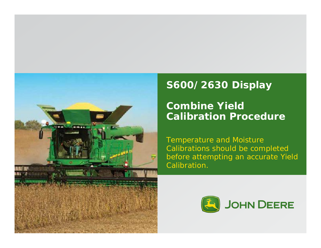

# **S600/2630 Display**

**Combine Yield Calibration Procedure**

Temperature and Moisture Calibrations should be completed before attempting an accurate Yield Calibration.

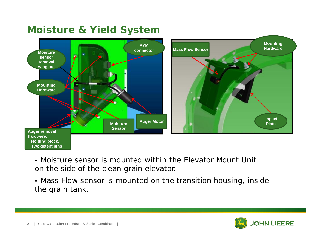### **Moisture & Yield System**



**-** Moisture sensor is mounted within the Elevator Mount Unit on the side of the clean grain elevator.

**-** Mass Flow sensor is mounted on the transition housing, inside the grain tank.

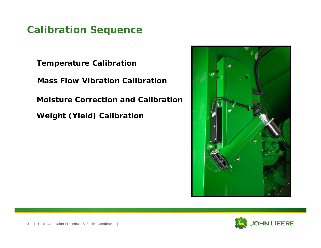### **Calibration Sequence**

**Temperature Calibration Mass Flow Vibration Calibration Moisture Correction and Calibration Weight (Yield) Calibration**



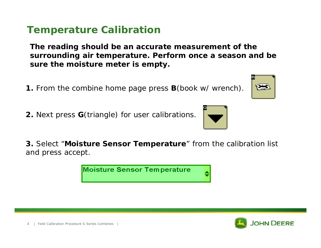#### **Temperature Calibration**

**The reading should be an accurate measurement of the surrounding air temperature. Perform once a season and be sure the moisture meter is empty.**

- **1.** From the combine home page press **B**(book w/ wrench).
- **2.** Next press **G**(triangle) for user calibrations.

**3.** Select "**Moisture Sensor Temperature**" from the calibration list and press accept.

**Moisture Sensor Temperature** 





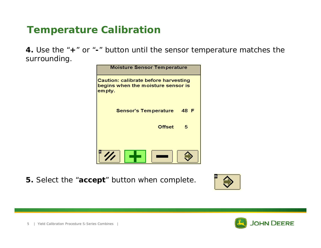### **Temperature Calibration**

**4.** Use the "**+**" or "**-**" button until the sensor temperature matches the surrounding.



**5.** Select the "**accept**" button when complete.





5 | Yield Calibration Procedure S-Series Combines |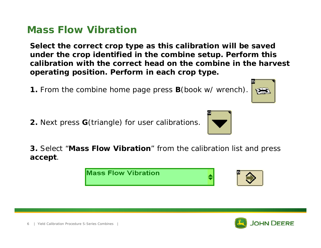#### **Mass Flow Vibration**

**Select the correct crop type as this calibration will be saved under the crop identified in the combine setup. Perform this calibration with the correct head on the combine in the harvest operating position. Perform in each crop type.**

- **1.** From the combine home page press **B**(book w/ wrench).
- **2.** Next press **G**(triangle) for user calibrations.

**3.** Select "**Mass Flow Vibration**" from the calibration list and press **accept**.

| <b>Mass Flow Vibration</b> |  |
|----------------------------|--|





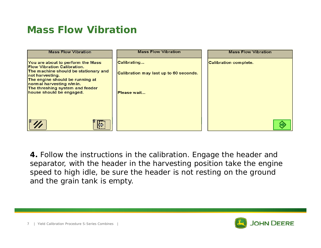### **Mass Flow Vibration**



**4.** Follow the instructions in the calibration. Engage the header and separator, with the header in the harvesting position take the engine speed to high idle, be sure the header is not resting on the ground and the grain tank is empty.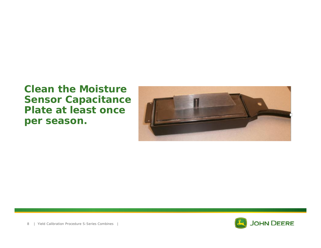#### **Clean the Moisture Sensor Capacitance Plate at least once per season.**



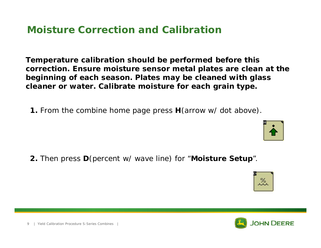### **Moisture Correction and Calibration**

**Temperature calibration should be performed before this correction. Ensure moisture sensor metal plates are clean at the beginning of each season. Plates may be cleaned with glass cleaner or water. Calibrate moisture for each grain type.**

**1.** From the combine home page press **H**(arrow w/ dot above).

**2.** Then press **D**(percent w/ wave line) for "**Moisture Setup**".







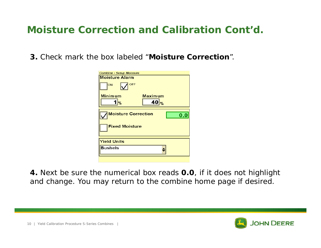### **Moisture Correction and Calibration Cont'd.**

**3.** Check mark the box labeled "**Moisture Correction**".

| <b>Combine - Setup Moisture</b>   |
|-----------------------------------|
| <b>Moisture Alarm</b>             |
| <b>OFF</b><br>ON                  |
| <b>Minimum</b><br>Maximum         |
| 40 <sub>96</sub><br>l%            |
| <b>Moisture Correction</b><br>0.0 |
| <b>Fixed Moisture</b>             |
| <b>Yield Units</b>                |
| <b>Bushels</b>                    |
|                                   |

**4.** Next be sure the numerical box reads **0.0**, if it does not highlight and change. You may return to the combine home page if desired.

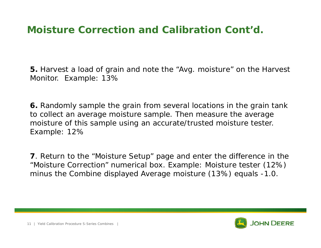#### **Moisture Correction and Calibration Cont'd.**

**5.** Harvest a load of grain and note the "Avg. moisture" on the Harvest Monitor. Example: 13%

**6.** Randomly sample the grain from several locations in the grain tank to collect an average moisture sample. Then measure the average moisture of this sample using an accurate/trusted moisture tester. Example: 12%

**7**. Return to the "Moisture Setup" page and enter the difference in the "Moisture Correction" numerical box. Example: Moisture tester (12%) minus the Combine displayed Average moisture (13%) equals -1.0.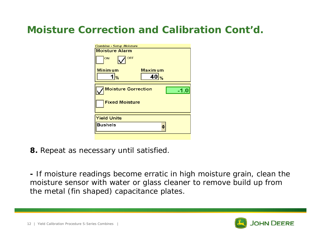### **Moisture Correction and Calibration Cont'd.**

| <b>Combine - Setup Moisture</b>      |
|--------------------------------------|
| <b>Moisture Alarm</b>                |
| <b>OFF</b><br>ON                     |
| <b>Minimum</b><br><b>Maximum</b>     |
| 40 <sub>96</sub><br>1%               |
|                                      |
| <b>Moisture Correction</b><br>$-1.0$ |
| <b>Fixed Moisture</b>                |
|                                      |
| <b>Yield Units</b>                   |
| <b>Bushels</b>                       |
|                                      |

**8.** Repeat as necessary until satisfied.

**-** If moisture readings become erratic in high moisture grain, clean the moisture sensor with water or glass cleaner to remove build up from the metal (fin shaped) capacitance plates.

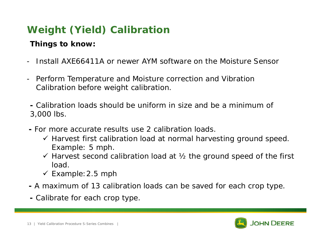**Things to know:**

- Install AXE66411A or newer AYM software on the Moisture Sensor
- Perform Temperature and Moisture correction and Vibration Calibration before weight calibration.

**-** Calibration loads should be uniform in size and be a minimum of 3,000 lbs.

- **-** For more accurate results use 2 calibration loads.
	- $\checkmark$  Harvest first calibration load at normal harvesting ground speed. Example: 5 mph.
	- $\checkmark$  Harvest second calibration load at  $\mathcal{V}_2$  the ground speed of the first load.
	- $\checkmark$  Example: 2.5 mph
- **-** A maximum of 13 calibration loads can be saved for each crop type.
- **-** Calibrate for each crop type.

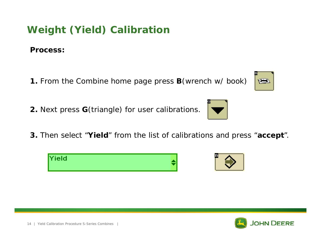**Process:**

- **1.** From the Combine home page press **B**(wrench w/ book)
- **2.** Next press **G**(triangle) for user calibrations.
- **3.** Then select "**Yield**" from the list of calibrations and press "**accept**".

Yield







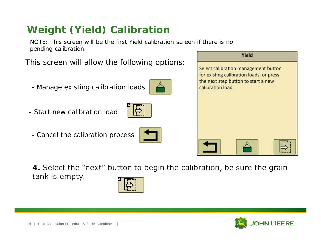NOTE: This screen will be the first Yield calibration screen if there is no pending calibration.

This screen will allow the following options:

- **-** Manage existing calibration loads
- **-** Start new calibration load
- **-** Cancel the calibration process





4. Select the "next" button to begin the calibration, be sure the grain tank is empty.



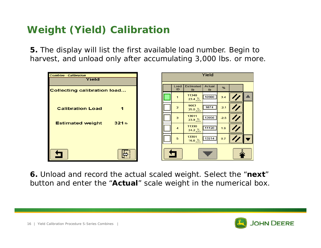**5.** The display will list the first available load number. Begin to harvest, and unload only after accumulating 3,000 lbs. or more.



**6.** Unload and record the actual scaled weight. Select the "**next**" button and enter the "**Actual**" scale weight in the numerical box.

 $%$ 

 $3.4$ 

 $-2.1$ 

 $-2.5$ 

 $1.9$ 

 $0.7$ 

**Ib**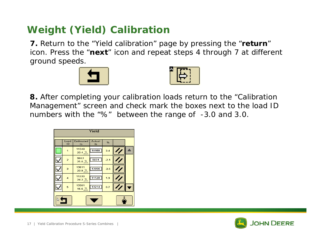**7.** Return to the "Yield calibration" page by pressing the "**return**" icon. Press the "**next**" icon and repeat steps 4 through 7 at different ground speeds.





**8.** After completing your calibration loads return to the "Calibration Management" screen and check mark the boxes next to the load ID numbers with the "%" between the range of -3.0 and 3.0.



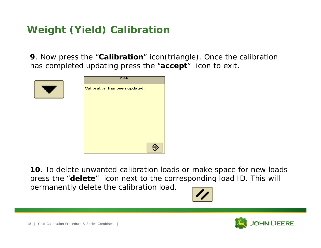**9**. Now press the "**Calibration**" icon(triangle). Once the calibration has completed updating press the "**accept**" icon to exit.



| Yield                         |  |
|-------------------------------|--|
| Calibration has been updated. |  |
|                               |  |
|                               |  |
|                               |  |
|                               |  |
|                               |  |
|                               |  |
|                               |  |
|                               |  |

**10.** To delete unwanted calibration loads or make space for new loads press the "**delete**" icon next to the corresponding load ID. This will permanently delete the calibration load.



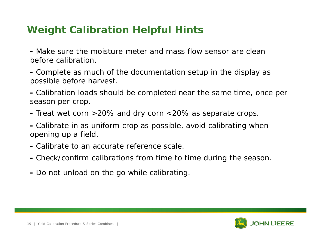### **Weight Calibration Helpful Hints**

**-** Make sure the moisture meter and mass flow sensor are clean before calibration.

**-** Complete as much of the documentation setup in the display as possible before harvest.

**-** Calibration loads should be completed near the same time, once per season per crop.

**-** Treat wet corn >20% and dry corn <20% as separate crops.

**-** Calibrate in as uniform crop as possible, avoid calibrating when opening up a field.

- **-** Calibrate to an accurate reference scale.
- **-** Check/confirm calibrations from time to time during the season.
- **-** Do not unload on the go while calibrating.

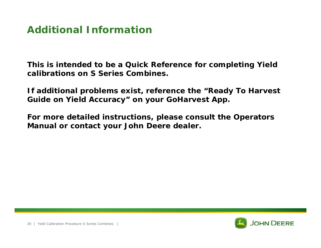#### **Additional Information**

**This is intended to be a Quick Reference for completing Yield calibrations on S Series Combines.**

**If additional problems exist, reference the "Ready To Harvest Guide on Yield Accuracy" on your GoHarvest App.**

**For more detailed instructions, please consult the Operators Manual or contact your John Deere dealer.**